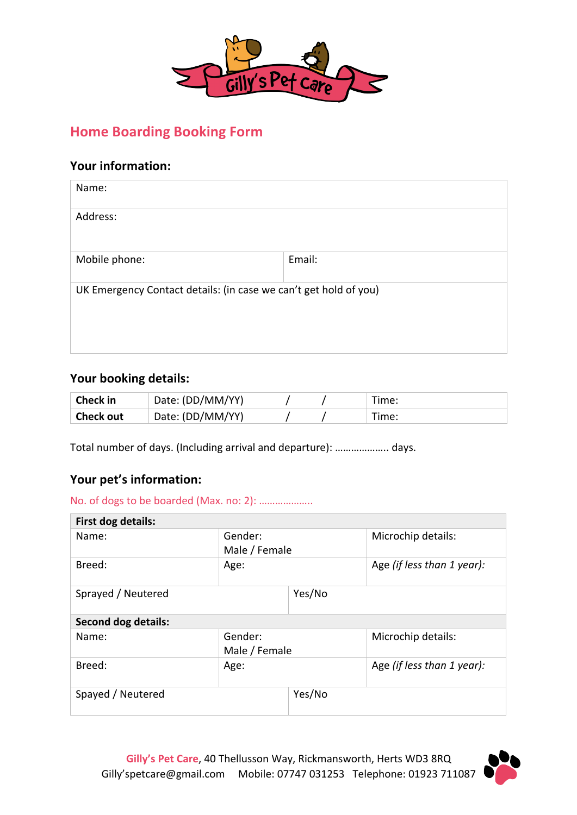

# **Home Boarding Booking Form**

## **Your information:**

| Name:                                                            |        |
|------------------------------------------------------------------|--------|
| Address:                                                         |        |
| Mobile phone:                                                    | Email: |
| UK Emergency Contact details: (in case we can't get hold of you) |        |

## Your booking details:

| <b>Check in</b>  | Date: (DD/MM/YY) |  | Time: |
|------------------|------------------|--|-------|
| <b>Check out</b> | Date: (DD/MM/YY) |  | Time: |

Total number of days. (Including arrival and departure): …………………. days.

## **Your pet's information:**

No. of dogs to be boarded (Max. no: 2): ……………….. 

| First dog details:         |                          |        |                            |
|----------------------------|--------------------------|--------|----------------------------|
| Name:                      | Gender:<br>Male / Female |        | Microchip details:         |
| Breed:                     | Age:                     |        | Age (if less than 1 year): |
| Sprayed / Neutered         |                          | Yes/No |                            |
| <b>Second dog details:</b> |                          |        |                            |
| Name:                      | Gender:<br>Male / Female |        | Microchip details:         |
| Breed:                     | Age:                     |        | Age (if less than 1 year): |
| Spayed / Neutered          |                          | Yes/No |                            |

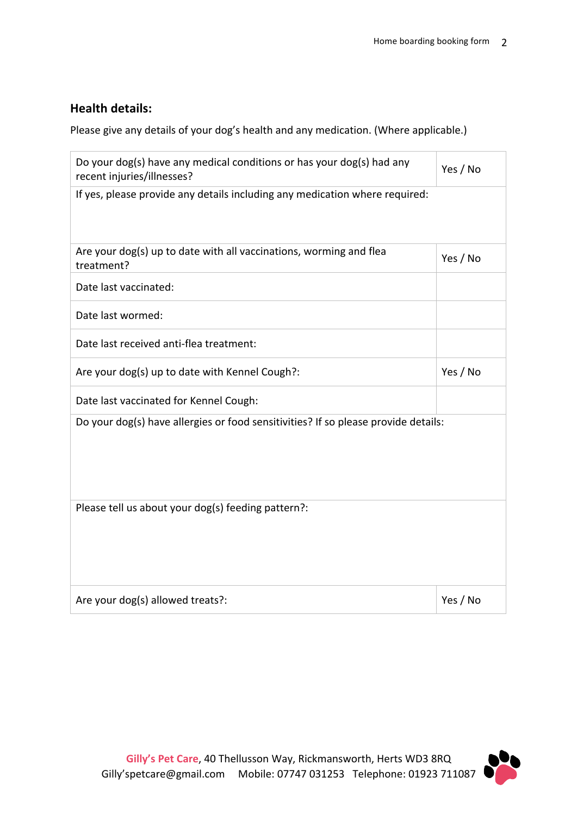# **Health details:**

Please give any details of your dog's health and any medication. (Where applicable.)

| Do your dog(s) have any medical conditions or has your dog(s) had any<br>recent injuries/illnesses? | Yes / No |  |
|-----------------------------------------------------------------------------------------------------|----------|--|
| If yes, please provide any details including any medication where required:                         |          |  |
| Are your dog(s) up to date with all vaccinations, worming and flea<br>treatment?                    | Yes / No |  |
| Date last vaccinated:                                                                               |          |  |
| Date last wormed:                                                                                   |          |  |
| Date last received anti-flea treatment:                                                             |          |  |
| Are your dog(s) up to date with Kennel Cough?:                                                      | Yes / No |  |
| Date last vaccinated for Kennel Cough:                                                              |          |  |
| Do your dog(s) have allergies or food sensitivities? If so please provide details:                  |          |  |
| Please tell us about your dog(s) feeding pattern?:                                                  |          |  |
| Are your dog(s) allowed treats?:                                                                    | Yes / No |  |

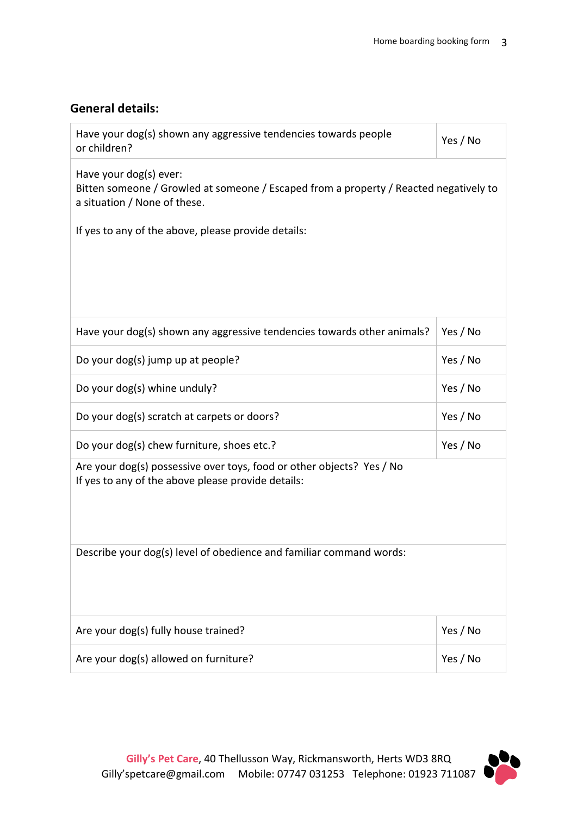# **General details:**

| Have your dog(s) shown any aggressive tendencies towards people<br>or children?                                                                 | Yes / No |  |
|-------------------------------------------------------------------------------------------------------------------------------------------------|----------|--|
| Have your dog(s) ever:<br>Bitten someone / Growled at someone / Escaped from a property / Reacted negatively to<br>a situation / None of these. |          |  |
| If yes to any of the above, please provide details:                                                                                             |          |  |
|                                                                                                                                                 |          |  |
|                                                                                                                                                 |          |  |
| Have your dog(s) shown any aggressive tendencies towards other animals?                                                                         | Yes / No |  |
| Do your dog(s) jump up at people?                                                                                                               | Yes / No |  |
| Do your dog(s) whine unduly?                                                                                                                    | Yes / No |  |
| Do your dog(s) scratch at carpets or doors?                                                                                                     | Yes / No |  |
| Do your dog(s) chew furniture, shoes etc.?                                                                                                      | Yes / No |  |
| Are your dog(s) possessive over toys, food or other objects? Yes / No<br>If yes to any of the above please provide details:                     |          |  |
| Describe your dog(s) level of obedience and familiar command words:                                                                             |          |  |
| Are your dog(s) fully house trained?                                                                                                            | Yes / No |  |
| Are your dog(s) allowed on furniture?                                                                                                           | Yes / No |  |

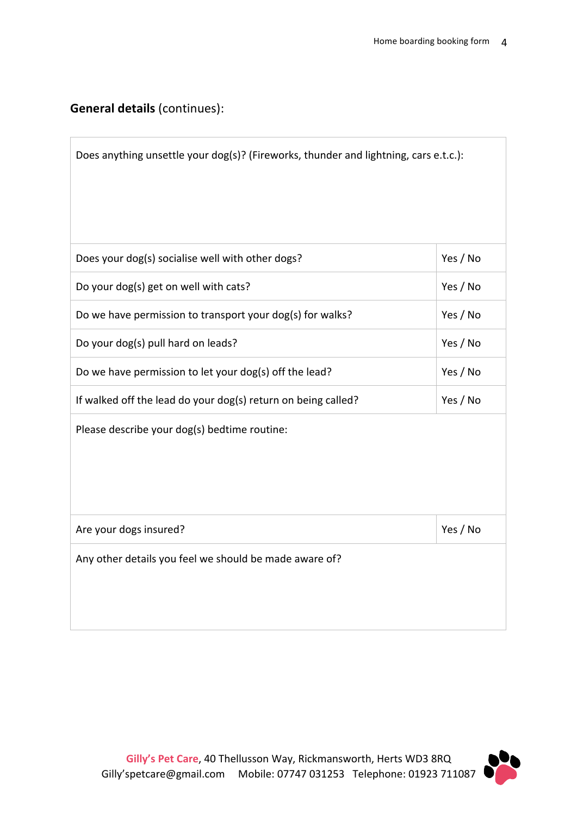# **General details** (continues):

| Does anything unsettle your dog(s)? (Fireworks, thunder and lightning, cars e.t.c.): |          |
|--------------------------------------------------------------------------------------|----------|
| Does your dog(s) socialise well with other dogs?                                     | Yes / No |
| Do your dog(s) get on well with cats?                                                | Yes / No |
| Do we have permission to transport your dog(s) for walks?                            | Yes / No |
| Do your dog(s) pull hard on leads?                                                   | Yes / No |
| Do we have permission to let your dog(s) off the lead?                               | Yes / No |
| If walked off the lead do your dog(s) return on being called?                        | Yes / No |
| Please describe your dog(s) bedtime routine:                                         |          |
| Are your dogs insured?                                                               | Yes / No |
| Any other details you feel we should be made aware of?                               |          |